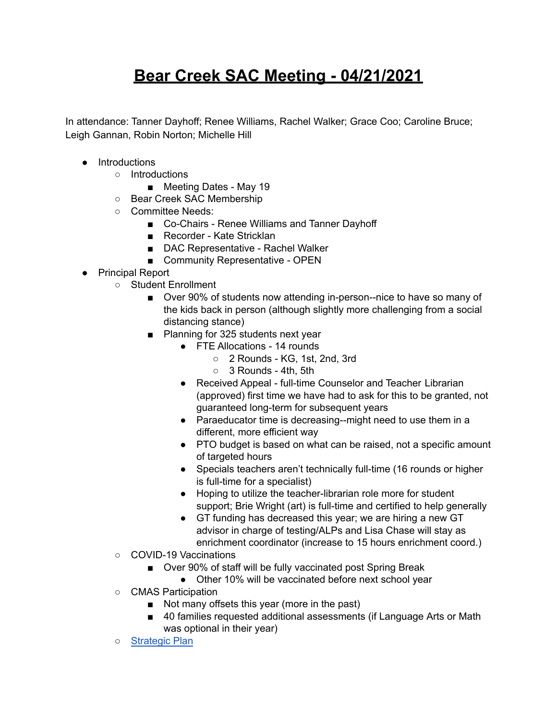## **Bear Creek SAC Meeting - 04/21/2021**

In attendance: Tanner Dayhoff; Renee Williams, Rachel Walker; Grace Coo; Caroline Bruce; Leigh Gannan, Robin Norton; Michelle Hill

- Introductions
	- Introductions
		- *■* Meeting Dates May 19
	- Bear Creek SAC Membership
	- Committee Needs:
		- Co-Chairs Renee Williams and Tanner Dayhoff
		- Recorder Kate Stricklan
		- DAC Representative Rachel Walker
		- Community Representative OPEN
- Principal Report
	- Student Enrollment
		- Over 90% of students now attending in-person--nice to have so many of the kids back in person (although slightly more challenging from a social distancing stance)
		- Planning for 325 students next year
			- FTE Allocations 14 rounds
				- 2 Rounds KG, 1st, 2nd, 3rd
				- 3 Rounds 4th, 5th
			- Received Appeal full-time Counselor and Teacher Librarian (approved) first time we have had to ask for this to be granted, not guaranteed long-term for subsequent years
			- Paraeducator time is decreasing--might need to use them in a different, more efficient way
			- PTO budget is based on what can be raised, not a specific amount of targeted hours
			- Specials teachers aren't technically full-time (16 rounds or higher is full-time for a specialist)
			- Hoping to utilize the teacher-librarian role more for student support; Brie Wright (art) is full-time and certified to help generally
			- GT funding has decreased this year; we are hiring a new GT advisor in charge of testing/ALPs and Lisa Chase will stay as enrichment coordinator (increase to 15 hours enrichment coord.)
	- COVID-19 Vaccinations
		- Over 90% of staff will be fully vaccinated post Spring Break
			- Other 10% will be vaccinated before next school year
	- CMAS Participation
		- Not many offsets this year (more in the past)
		- 40 families requested additional assessments (if Language Arts or Math was optional in their year)
	- [Strategic](https://www.bvsd.org/about/strategic-plan) Plan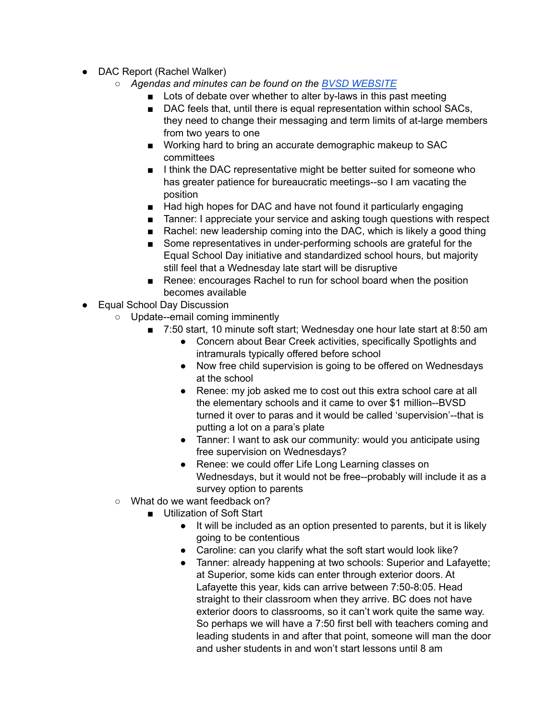- DAC Report (Rachel Walker)
	- *○ Agendas and minutes can be found on the BVSD [WEBSITE](https://www.bvsd.org/about/district-accountability-committee)*
		- Lots of debate over whether to alter by-laws in this past meeting
		- DAC feels that, until there is equal representation within school SACs, they need to change their messaging and term limits of at-large members from two years to one
		- Working hard to bring an accurate demographic makeup to SAC committees
		- I think the DAC representative might be better suited for someone who has greater patience for bureaucratic meetings--so I am vacating the position
		- Had high hopes for DAC and have not found it particularly engaging
		- Tanner: I appreciate your service and asking tough questions with respect
		- Rachel: new leadership coming into the DAC, which is likely a good thing
		- Some representatives in under-performing schools are grateful for the Equal School Day initiative and standardized school hours, but majority still feel that a Wednesday late start will be disruptive
		- Renee: encourages Rachel to run for school board when the position becomes available
- Equal School Day Discussion
	- Update--email coming imminently
		- 7:50 start, 10 minute soft start; Wednesday one hour late start at 8:50 am
			- Concern about Bear Creek activities, specifically Spotlights and intramurals typically offered before school
			- Now free child supervision is going to be offered on Wednesdays at the school
			- Renee: my job asked me to cost out this extra school care at all the elementary schools and it came to over \$1 million--BVSD turned it over to paras and it would be called 'supervision'--that is putting a lot on a para's plate
			- Tanner: I want to ask our community: would you anticipate using free supervision on Wednesdays?
			- Renee: we could offer Life Long Learning classes on Wednesdays, but it would not be free--probably will include it as a survey option to parents
	- What do we want feedback on?
		- Utilization of Soft Start
			- It will be included as an option presented to parents, but it is likely going to be contentious
			- Caroline: can you clarify what the soft start would look like?
			- Tanner: already happening at two schools: Superior and Lafayette; at Superior, some kids can enter through exterior doors. At Lafayette this year, kids can arrive between 7:50-8:05. Head straight to their classroom when they arrive. BC does not have exterior doors to classrooms, so it can't work quite the same way. So perhaps we will have a 7:50 first bell with teachers coming and leading students in and after that point, someone will man the door and usher students in and won't start lessons until 8 am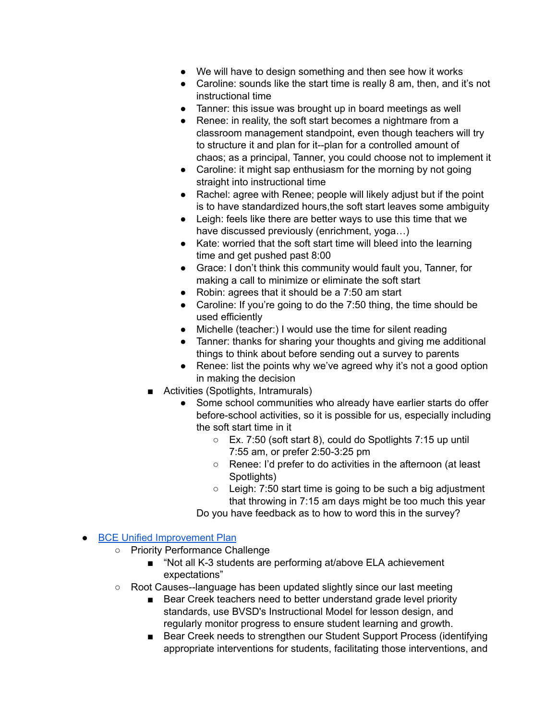- We will have to design something and then see how it works
- Caroline: sounds like the start time is really 8 am, then, and it's not instructional time
- Tanner: this issue was brought up in board meetings as well
- Renee: in reality, the soft start becomes a nightmare from a classroom management standpoint, even though teachers will try to structure it and plan for it--plan for a controlled amount of chaos; as a principal, Tanner, you could choose not to implement it
- Caroline: it might sap enthusiasm for the morning by not going straight into instructional time
- Rachel: agree with Renee; people will likely adjust but if the point is to have standardized hours,the soft start leaves some ambiguity
- Leigh: feels like there are better ways to use this time that we have discussed previously (enrichment, yoga…)
- Kate: worried that the soft start time will bleed into the learning time and get pushed past 8:00
- Grace: I don't think this community would fault you, Tanner, for making a call to minimize or eliminate the soft start
- Robin: agrees that it should be a 7:50 am start
- Caroline: If you're going to do the 7:50 thing, the time should be used efficiently
- Michelle (teacher:) I would use the time for silent reading
- Tanner: thanks for sharing your thoughts and giving me additional things to think about before sending out a survey to parents
- Renee: list the points why we've agreed why it's not a good option in making the decision
- Activities (Spotlights, Intramurals)
	- Some school communities who already have earlier starts do offer before-school activities, so it is possible for us, especially including the soft start time in it
		- Ex. 7:50 (soft start 8), could do Spotlights 7:15 up until 7:55 am, or prefer 2:50-3:25 pm
		- Renee: I'd prefer to do activities in the afternoon (at least Spotlights)
		- Leigh: 7:50 start time is going to be such a big adjustment that throwing in 7:15 am days might be too much this year

Do you have feedback as to how to word this in the survey?

## ● BCE Unified [Improvement](https://drive.google.com/file/d/18yrst_f9MUkiSUy2M543920sctnpZW4T/view?usp=sharing) Plan

- Priority Performance Challenge
	- "Not all K-3 students are performing at/above ELA achievement expectations"
- Root Causes--language has been updated slightly since our last meeting
	- Bear Creek teachers need to better understand grade level priority standards, use BVSD's Instructional Model for lesson design, and regularly monitor progress to ensure student learning and growth.
	- Bear Creek needs to strengthen our Student Support Process (identifying appropriate interventions for students, facilitating those interventions, and